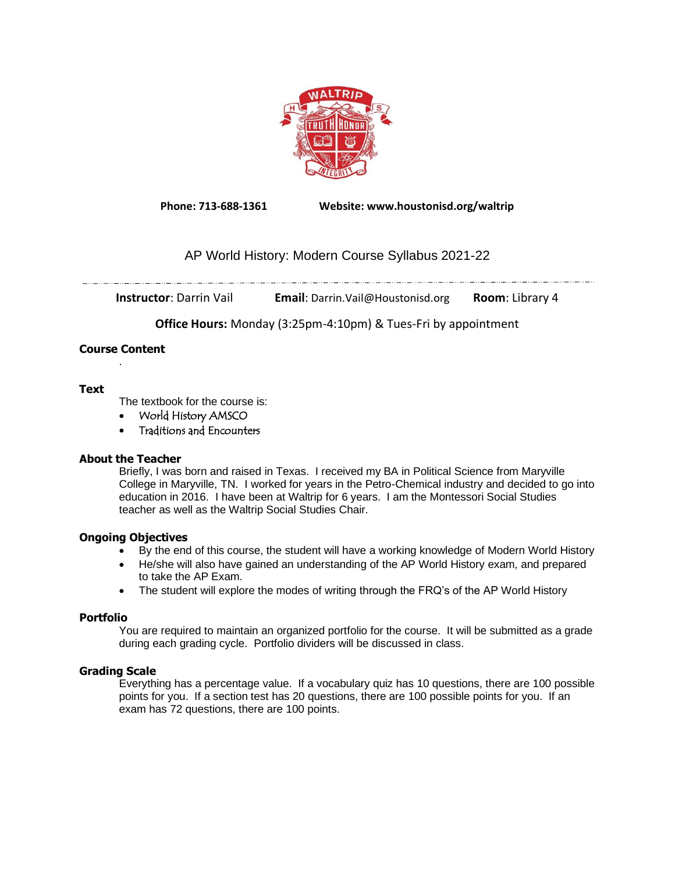

**Phone: 713-688-1361 Website: www.houstonisd.org/waltrip**

# AP World History: Modern Course Syllabus 2021-22

**Instructor**: Darrin Vail **Email**: Darrin.Vail@Houstonisd.org **Room**: Library 4

**Office Hours:** Monday (3:25pm-4:10pm) & Tues-Fri by appointment

#### **Course Content** .

# **Text**

The textbook for the course is:

• World History AMSCO

• Traditions and Encounters

# **About the Teacher**

Briefly, I was born and raised in Texas. I received my BA in Political Science from Maryville College in Maryville, TN. I worked for years in the Petro-Chemical industry and decided to go into education in 2016. I have been at Waltrip for 6 years. I am the Montessori Social Studies teacher as well as the Waltrip Social Studies Chair.

# **Ongoing Objectives**

- By the end of this course, the student will have a working knowledge of Modern World History
- He/she will also have gained an understanding of the AP World History exam, and prepared to take the AP Exam.
- The student will explore the modes of writing through the FRQ's of the AP World History

# **Portfolio**

You are required to maintain an organized portfolio for the course. It will be submitted as a grade during each grading cycle. Portfolio dividers will be discussed in class.

# **Grading Scale**

Everything has a percentage value. If a vocabulary quiz has 10 questions, there are 100 possible points for you. If a section test has 20 questions, there are 100 possible points for you. If an exam has 72 questions, there are 100 points.